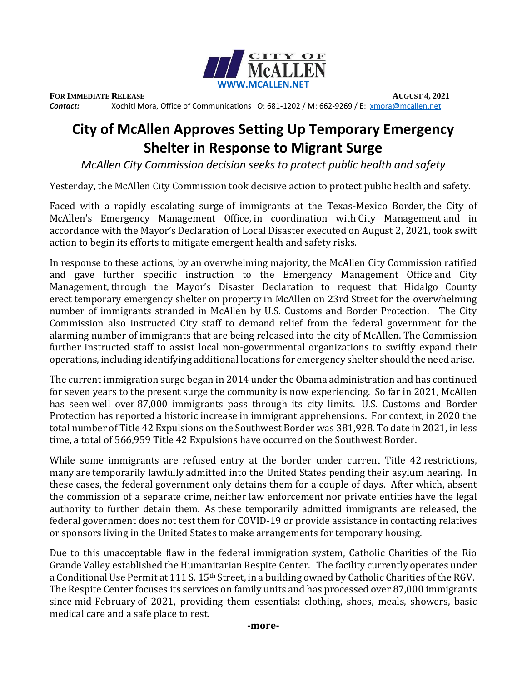

**FOR IMMEDIATE RELEASE AUGUST 4, 2021**

*Contact:* Xochitl Mora, Office of Communications O: 681-1202 / M: 662-9269 / E: [xmora@mcallen.net](mailto:xmora@mcallen.net)

## **City of McAllen Approves Setting Up Temporary Emergency Shelter in Response to Migrant Surge**

*McAllen City Commission decision seeks to protect public health and safety* 

Yesterday, the McAllen City Commission took decisive action to protect public health and safety.

Faced with a rapidly escalating surge of immigrants at the Texas-Mexico Border, the City of McAllen's Emergency Management Office, in coordination with City Management and in accordance with the Mayor's Declaration of Local Disaster executed on August 2, 2021, took swift action to begin its efforts to mitigate emergent health and safety risks.

In response to these actions, by an overwhelming majority, the McAllen City Commission ratified and gave further specific instruction to the Emergency Management Office and City Management, through the Mayor's Disaster Declaration to request that Hidalgo County erect temporary emergency shelter on property in McAllen on 23rd Street for the overwhelming number of immigrants stranded in McAllen by U.S. Customs and Border Protection.   The City Commission also instructed City staff to demand relief from the federal government for the alarming number of immigrants that are being released into the city of McAllen. The Commission further instructed staff to assist local non-governmental organizations to swiftly expand their operations, including identifying additional locations for emergency shelter should the need arise.

The current immigration surge began in 2014 under the Obama administration and has continued for seven years to the present surge the community is now experiencing.  So far in 2021, McAllen has seen well over 87,000 immigrants pass through its city limits.  U.S. Customs and Border Protection has reported a historic increase in immigrant apprehensions.  For context, in 2020 the total number of Title 42 Expulsions on the Southwest Border was 381,928. To date in 2021, in less time, a total of 566,959 Title 42 Expulsions have occurred on the Southwest Border.

While some immigrants are refused entry at the border under current Title 42 restrictions, many are temporarily lawfully admitted into the United States pending their asylum hearing.  In these cases, the federal government only detains them for a couple of days. After which, absent the commission of a separate crime, neither law enforcement nor private entities have the legal authority to further detain them. As these temporarily admitted immigrants are released, the federal government does not test them for COVID-19 or provide assistance in contacting relatives or sponsors living in the United States to make arrangements for temporary housing.  

Due to this unacceptable flaw in the federal immigration system, Catholic Charities of the Rio Grande Valley established the Humanitarian Respite Center.   The facility currently operates under a Conditional Use Permit at 111 S. 15<sup>th</sup> Street, in a building owned by Catholic Charities of the RGV. The Respite Center focuses its services on family units and has processed over 87,000 immigrants since mid-February of 2021, providing them essentials: clothing, shoes, meals, showers, basic medical care and a safe place to rest.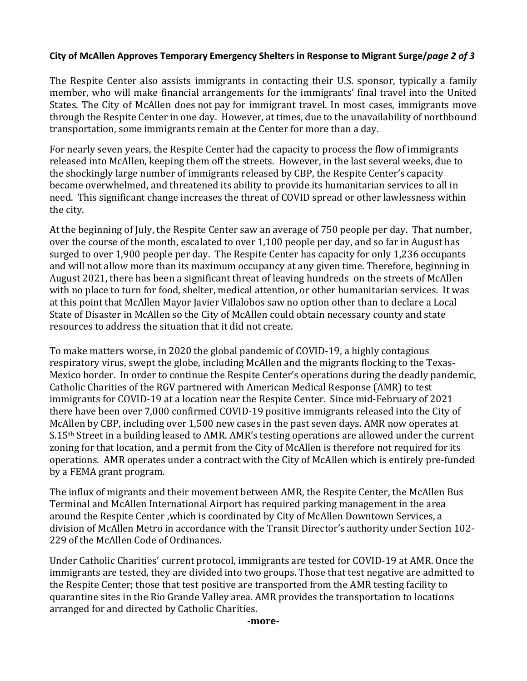## **City of McAllen Approves Temporary Emergency Shelters in Response to Migrant Surge/***page 2 of 3*

The Respite Center also assists immigrants in contacting their U.S. sponsor, typically a family member, who will make financial arrangements for the immigrants' final travel into the United States. The City of McAllen does not pay for immigrant travel. In most cases, immigrants move through the Respite Center in one day.  However, at times, due to the unavailability of northbound transportation, some immigrants remain at the Center for more than a day.

For nearly seven years, the Respite Center had the capacity to process the flow of immigrants released into McAllen, keeping them off the streets.  However, in the last several weeks, due to the shockingly large number of immigrants released by CBP, the Respite Center's capacity became overwhelmed, and threatened its ability to provide its humanitarian services to all in need. This significant change increases the threat of COVID spread or other lawlessness within the city.

At the beginning of July, the Respite Center saw an average of 750 people per day.  That number, over the course of the month, escalated to over 1,100 people per day, and so far in August has surged to over 1,900 people per day.  The Respite Center has capacity for only 1,236 occupants and will not allow more than its maximum occupancy at any given time. Therefore, beginning in August 2021, there has been a significant threat of leaving hundreds on the streets of McAllen with no place to turn for food, shelter, medical attention, or other humanitarian services.  It was at this point that McAllen Mayor Javier Villalobos saw no option other than to declare a Local State of Disaster in McAllen so the City of McAllen could obtain necessary county and state resources to address the situation that it did not create.   

To make matters worse, in 2020 the global pandemic of COVID-19, a highly contagious respiratory virus, swept the globe, including McAllen and the migrants flocking to the Texas-Mexico border.  In order to continue the Respite Center's operations during the deadly pandemic, Catholic Charities of the RGV partnered with American Medical Response (AMR) to test immigrants for COVID-19 at a location near the Respite Center.  Since mid-February of 2021 there have been over 7,000 confirmed COVID-19 positive immigrants released into the City of McAllen by CBP, including over 1,500 new cases in the past seven days. AMR now operates at S.15<sup>th</sup> Street in a building leased to AMR. AMR's testing operations are allowed under the current zoning for that location, and a permit from the City of McAllen is therefore not required for its operations.  AMR operates under a contract with the City of McAllen which is entirely pre-funded by a FEMA grant program.

The influx of migrants and their movement between AMR, the Respite Center, the McAllen Bus Terminal and McAllen International Airport has required parking management in the area around the Respite Center ,which is coordinated by City of McAllen Downtown Services, a division of McAllen Metro in accordance with the Transit Director's authority under Section 102- 229 of the McAllen Code of Ordinances.

Under Catholic Charities' current protocol, immigrants are tested for COVID-19 at AMR. Once the immigrants are tested, they are divided into two groups. Those that test negative are admitted to the Respite Center; those that test positive are transported from the AMR testing facility to quarantine sites in the Rio Grande Valley area. AMR provides the transportation to locations arranged for and directed by Catholic Charities.